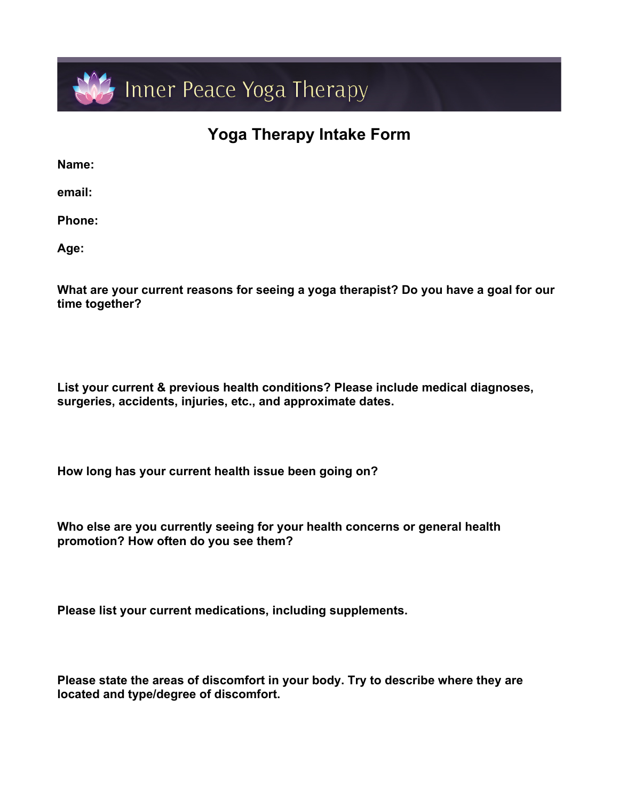

## **Yoga Therapy Intake Form**

**Name:**

**email:** 

**Phone:**

**Age:**

**What are your current reasons for seeing a yoga therapist? Do you have a goal for our time together?**

**List your current & previous health conditions? Please include medical diagnoses, surgeries, accidents, injuries, etc., and approximate dates.**

**How long has your current health issue been going on?**

**Who else are you currently seeing for your health concerns or general health promotion? How often do you see them?** 

**Please list your current medications, including supplements.**

**Please state the areas of discomfort in your body. Try to describe where they are located and type/degree of discomfort.**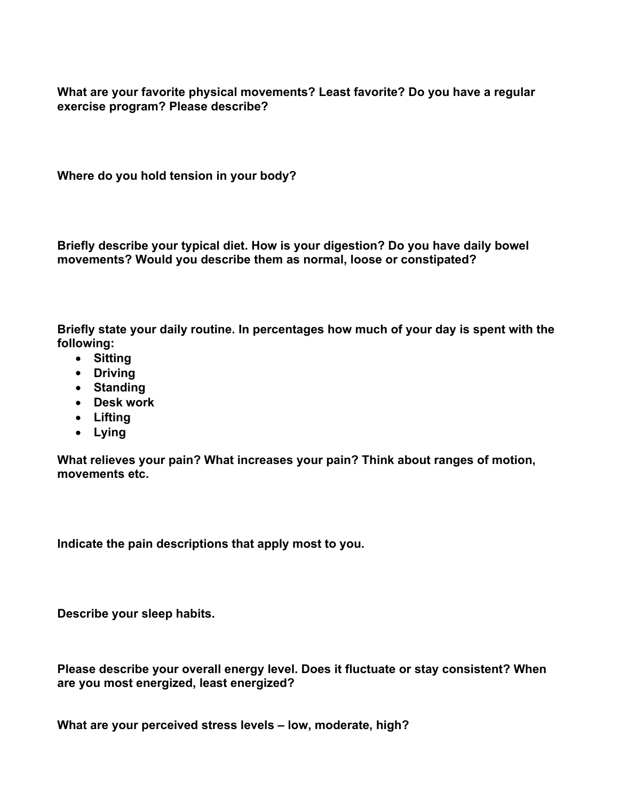**What are your favorite physical movements? Least favorite? Do you have a regular exercise program? Please describe?** 

**Where do you hold tension in your body?**

**Briefly describe your typical diet. How is your digestion? Do you have daily bowel movements? Would you describe them as normal, loose or constipated?**

**Briefly state your daily routine. In percentages how much of your day is spent with the following:**

- **Sitting**
- **Driving**
- **Standing**
- **Desk work**
- **Lifting**
- **Lying**

**What relieves your pain? What increases your pain? Think about ranges of motion, movements etc.** 

**Indicate the pain descriptions that apply most to you.**

**Describe your sleep habits.**

**Please describe your overall energy level. Does it fluctuate or stay consistent? When are you most energized, least energized?**

**What are your perceived stress levels – low, moderate, high?**